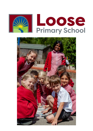

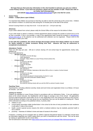## *We hope that you find some key information in this short booklet to welcome you and your child to Loose Primary School. If you have any questions, please ask any member of staff. Please also refer to our twitter feed @looseprimary*

*and website<https://www.loose-primary.kent.sch.uk/> to get a true feel for Loose.*

## *School Times* **8.55am – 3.20pm (doors open 8.45am)**

# It is important that children are punctual so that they are able to start the school day at the correct time. Children can choose to 'trickle in' to school any time during the 10 minutes prior to the start of the school.

School Crossing Patrol is on duty from  $8.30 - 9.10$  am and  $3.10 - 3.45$  pm each day

## *Absences*

 $\mathsf{I}$ 

If your child is absent from school, please notify the School Office of the reason for this before 8.45am.

If your child needs to attend a medical or dental appointment please arrange this outside of school hours as far as that is possible. If this is not possible, a copy of the appointment letter should be emailed to [office@loose](mailto:office@loose-primary.kent.sch.uk)[primary.kent.sch.uk](mailto:office@loose-primary.kent.sch.uk) so the absence can be authorised and collection can be organised. Please come to the main gate to collect your child.

### **In line with KCC guidelines, the school strongly discourages parents from taking children out of school for family holidays or similar occasions during term time. Absence will only be authorised in exceptional circumstances.**

## *Attendance Tracker*

There are 365 days per year. 190 are in school, leaving 175 non-school days for appointments, family visits, holidays etc.

If your child attends for …

- **190 days each year**
	- In school for the full 190 days
	- 100% attendance
	- Fantastic! Many children at Loose Primary School achieve this.
- **10 days missed**
	- In school for 180 days
	- 95% attendance • Target for all pupils
- **20 days missed**
	- In school for 170 days
	- 90% attendance
	- We monitor carefully if attendance falls below 90% as this is 4 weeks of school missed
- **29 days missed**
	- In school for 161 days
	- 85% attendance
	- Real concern as almost 6 missed weeks of school in 1 year
	- Shared with EWO (Education Welfare Officer)
	- **38 days missed**
		- In school for 152 days
		- 80% attendance
		- We would be working closely with you and the EWO as almost 8 weeks missed

## *Teaching Times*

Teaching time, excluding collective worship, break and lunch times and registration times is as follows: 23 hours 30 minutes – per week.

## *Joining our School*

Children are admitted to Loose Primary School in accordance with our Admissions Policy. If you are seeking a place at the school mid-year, the Headteacher will be happy to arrange a tour of the school. All applications must be made through then school office via an In Year Application Form; the school can advise on this process. Should all places be taken in the year group you are requesting, then you can be added to a waiting list. Places will be allocated according to the published criteria, in priority order:

- children in care
- current family association (elder brother/sister in the school at the time of entry provided the main residence is still within 2 miles of the school)
- health, social & special access reasons (for which a medical evidence may be needed), parental health is not a criterion
- proximity nearness of children's home and ease of access to the school

If desired, a meeting can be arranged with our SENCo (Special Educational Needs Co-ordinator) should there be information regarding your child's needs which you wish to share/discuss with the school. This can be done by making an appointment via the school office.

See full admissions information here<https://www.loose-primary.kent.sch.uk/page/?title=Admissions&pid=15>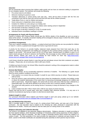## *Induction*

We are passionate about ensuring that children settle quickly and we have an extensive settling in programme for our reception starters. The induction will include the following:

- Pre-school visits for all children
- Welcome meeting for parents in June
- Transition afternoons in school during June and July there will be three of these with the first one consisting of only half the class (the second and third will have all the children present)
- Teddy Bears Picnic in July for children and parents
- Home visits prior to September where necessary
- Invitation for children to come along to our holiday club
- Summer preparation activity to engage the children when starting school in September
- One full week of half days, finishing at 12:00
- One full week of half days, finishing at 13:00 (To include lunch)
- Individual Parent consultation meetings in October

# *Arrangements for Pupils with Physical Needs*

Parents of children with Physical Needs should give the SENCo details of the disability as soon as accept a place at the school. A mutually convenient meeting will be arranged to discuss ways in which the child's needs can be best dealt with by the school.

## *Lunchtime Arrangements*

There are 3 options available to the children – a cooked school lunch (free lunches are now provided for children in Years R, 1 and 2); a packed lunch brought from home; to go home for lunch.

A priority for the School is to provide healthy, balanced meals prepared from fresh food each day on the premises. Catering arrangements and staffing are managed by the Contract Dining Company (CDC) with the support of the school. The cost per meal is £2.25; £11.25 per week. Parents/Carers of children in years 3 to 6 need to book and pay for dinner in advance via ParentPay. We encourage as many children as possible to have school dinners. Please see menu on our website for food choices for each day [https://www.loose](https://www.loose-primary.kent.sch.uk/page/?title=School+Dinners&pid=26)[primary.kent.sch.uk/page/?title=School+Dinners&pid=26](https://www.loose-primary.kent.sch.uk/page/?title=School+Dinners&pid=26)

Lunch boxes should be named clearly in case they get lost and please ensure that drink containers are plastic, not glass. Please also, do not send your child in with cans of drink.

If children go home for lunch, the School Office should be advised in writing of the arrangements made to collect and return the child to school.

# *Extreme Bad Weather*

Living in Great Britain, we do occasionally experience extremes of weather. The following is a guide should there be severe weather conditions at any time:

- If the weather is so severe that you consider it unsafe for your child to journey to school. Please keep your child at home.
- Once the school is open and working it will not close unless the Headteacher considers the building unsafe or where the weather deteriorates to the extent that it is becoming increasingly dangerous for children and staff to travel home. Should this happen, the school will not close until every child has been collected by a responsible adult. No child will be allowed to go home on their own in extreme weather conditions
- The school will notify parents via the texting service if necessary to keep all informed of any changes to the situation
- Listen to Radio Kent (96.7 FM) or Heart (103.1 FM) for any report of school closures

Please note that we aim to remain open, even with a skeleton staff, wherever possible. It is very rare or in extreme circumstances (eg having no water on site) that we would close.

## *Subjects taught in school*

For curriculum information about subjects and themes taught in each year group, please go to our website: <https://www.loose-primary.kent.sch.uk/page/?title=Curriculum&pid=22>

# *Sex and Relationships Education*

SRE is formally taught in Year 6 but is part of a whole-school PSHE policy, and also part of the Science curriculum. Our sex education input is based on the 'Growing Up' video, produced in conjunction with the Department for Health. Parents are invited to view the video prior to it being shown to the children.

# *Religious Education and Collective Worship*

The school is not affiliated to any particular religious denomination. Religious education is taught according to the Kent Agreed Syllabus, which develops knowledge of Christianity whilst raising awareness of other religions. The children gather daily for assembly. We offer a range of assembly themes which involve the children in a variety of ways. The final assembly of the week provides the opportunity to celebrate and give thanks for the week. Learner of the Week Certificates are awarded during this assembly to which parents may be invited.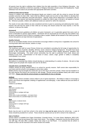All parents have the right to withdraw their children from the daily assembly or from Religious Education. Any parent wishing to withdraw a child from assembly or Religious Education should contact the Headteacher. Pupils withdrawn from the above are provided with appropriate alternative activities.

### *Additional Educational Needs*

Parents of children with Additional Educational Needs are invited to work with the school to ensure the best possible outcomes for their child. Each child has different needs and we strive to help children to develop their strengths, overcome difficulties and build self-esteem. Specific needs will be addressed in consultation with our SENCo, the class teacher and teaching assistants to enable the child to play a full part in all aspects of school life. Wherever possible, children with additional needs are catered for within the classroom.

The needs of more able children are also considered and time is given to assessing and addressing their needs. Parents who feel that the needs of their child are not being met should contact the class teacher, in the first instance, to discuss the matter.

### *Homework*

Following Government guidelines all children are given homework, as it is generally agreed that some work at home is desirable for primary aged children. Homework will not necessarily be set every day and children may be given a set period of time in which to complete a task or project. Details will be entered in the child's journal to ensure that parents are kept informed of expectations.

### *Healthy Schools*

We are an accredited Healthy School and therefore encourage children to bring fruit or vegetables into school for morning break rather than biscuits, sweets or crisps.

## *Equal Opportunities*

The Governors and staff at Loose Primary School are committed to providing the full range of opportunities for all pupils regardless of gender, disability, ethnicity, social, cultural or religious background. All pupils have equal access to the curriculum and the right to a learning environment which dispels ignorance, prejudice and discourages stereotyping. The entire school community has the right to protection from insult, abuse and bullying of any kind. Discrimination on the basis of colour, culture, origin, gender or ability is completely unacceptable in our school.

### *Multi-Cultural Education*

We believe it is essential that children should develop an understanding of a variety of cultures. We aim to help children grow into people who respect and care for all others.

#### *Valuable Items and Mobile Phones*

Children should not bring valuable items in to school for security reasons. Staff cannot take responsibility for such items and the school is not equipped to store them safely.

Mobile phones may be brought into school (for use on the way to and from school). These must be handed in to the class teacher first thing in the morning for safe storage. Phones should be labelled clearly with child's name and class. Please note that the school accepts no responsibility for loss or damage.

## *Uniform*

Loose Primary School considers school uniform to be of great importance. We believe it helps to encourage a pride in the school and engender a feeling of 'togetherness' and belonging. It also reflects the tone and ethos of the school.

Uniform is as follows:

## **Girls**

Grey skirt or pinafore dress Grey trousers White blouse School jumper or cardigan with logo School tie White socks or grey socks/tights – not trainer liners Black school shoes of a sensible height (3cm max)

#### **Boys**

Grey trousers or tailored shorts White shirt School jumper or cardigan with logo School tie Grey socks Black school shoes

Boots may be worn to and from school in the winter but **may not be worn** during the school day – a pair of shoes should be provided for in school. These should be named and can be left in school in the cloakroom.

## *Sale of Uniform*

School uniform is available from Pages Schoolwear, Granada House, 7-8 Lower Street, Maidstone, ME15 6JR. Non-logo items may be purchased from major chain stores. The cardigan / sweatshirt must be the official school one with logo. We also offer a weekly 'nearly new' shop in our Owl Room. It is essential that all uniform is named so that it can be returned to the owner should it be mislaid.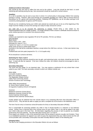### *Additional Uniform Information*

Hair should be tidy and neat to reflect the tone set by the uniform. Long hair should be tied back, to avoid interfering with learning during the day. Hair accessories should be small and in school colours.

#### *Jewellery*

As a rule no jewellery may be worn at any time in school. It is school policy to discourage children from wearing earrings in school. However, plain stud earrings are acceptable provided your child is able to remove these by themselves for PE, games and swimming activities. Following KCC guidelines, we do not allow earrings to be covered by sticking plaster for games and PE lessons

Should you be considering having your child's ears pierced we would ask you to do so at the beginning of the longer Summer Holiday to ensure the earrings are ready for daily removal for school.

Any child who is to be excused PE, Swimming or Games should bring a note written by the Parent/Guardian/Carer for a single occasion. For longer periods of time a doctor's certificate should be shown to verify medical grounds for exclusion from physical activity.

### *P E Kit*

Children are expected to wear regulation PE kit for PE activities. PE Kit is as follows: Girls and Boys Black shorts House colour t-shirt – plain Plimsoles for Years R, 1 & 2 Trainers for Years 3, 4, 5 & 6 for outside wear White socks (if worn) or white trainer liners (Activities in the hall will be undertaken barefoot, except where the child has a verruca. In that case trainers may be worn.)

Football boots and shin pads (required for Y3, 4, 5 & 6 pupils only)

PE kit should be in school at all times.

### *Swimming for Years 2 and 3*

One-piece swimming costumes should be worn by girls, and swimming trunks, not shorts, should be worn by the boys. A towel will also be required. If the hair is below the collar, the children should be encouraged to wear a swimming cap.

#### *Secondary Education*

The move into Key Stage 3 is an important step. You may express a preference for any school that is best suited to your child. The main secondary schools to which our children transfer are:

*Wide Ability* Cornwallis Academy New Line Learning Academy The Maplesden Noakes School Valley Park Community School School of Science and Technology

*Wide Ability Denominational* St. Simon Stock Catholic School St Augustine Academy (Church of England)

*Grammar* Maidstone Grammar School (boys) Maidstone Grammar School for Girls Invicta Grammar School (girls) Oakwood Park Grammar School (boys)

Further details may be obtained from the schools above or by contacting Mid Kent Area Education Office on 01622 671411. They will also be able to supply you with a complete list of all schools in the Maidstone area.

The Kent Test for entry to Grammar school [Procedure for Entry to Secondary Education (PESE)]

KCC is responsible for assessing whether any child in Year 6 should transfer to a selective or non-selective school. During Term 6 (second half of the summer term) of your child's Year 5, you will be asked if you wish your child to take part in the Kent Test. All information regarding this process is sent to parents via a booklet produced by the local authority. The tests take place during Term 1 of Year 6.

Once papers are marked, a note of the assessment given will be posted to parents (usually mid-October). There is an established procedure for appeal if you wish to query the assessment that your child receives but this will not be possible until a secondary school place has been formally offered in March of the following year.

#### *Charging Policy*

The aims of the charging provisions in the Education Reform Act are as follows: